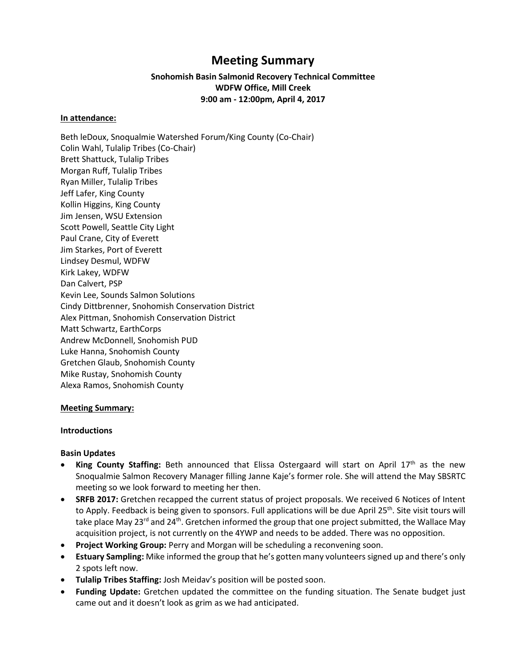# **Meeting Summary**

# **Snohomish Basin Salmonid Recovery Technical Committee WDFW Office, Mill Creek 9:00 am - 12:00pm, April 4, 2017**

#### **In attendance:**

Beth leDoux, Snoqualmie Watershed Forum/King County (Co-Chair) Colin Wahl, Tulalip Tribes (Co-Chair) Brett Shattuck, Tulalip Tribes Morgan Ruff, Tulalip Tribes Ryan Miller, Tulalip Tribes Jeff Lafer, King County Kollin Higgins, King County Jim Jensen, WSU Extension Scott Powell, Seattle City Light Paul Crane, City of Everett Jim Starkes, Port of Everett Lindsey Desmul, WDFW Kirk Lakey, WDFW Dan Calvert, PSP Kevin Lee, Sounds Salmon Solutions Cindy Dittbrenner, Snohomish Conservation District Alex Pittman, Snohomish Conservation District Matt Schwartz, EarthCorps Andrew McDonnell, Snohomish PUD Luke Hanna, Snohomish County Gretchen Glaub, Snohomish County Mike Rustay, Snohomish County Alexa Ramos, Snohomish County

# **Meeting Summary:**

#### **Introductions**

#### **Basin Updates**

- **King County Staffing:** Beth announced that Elissa Ostergaard will start on April 17<sup>th</sup> as the new Snoqualmie Salmon Recovery Manager filling Janne Kaje's former role. She will attend the May SBSRTC meeting so we look forward to meeting her then.
- **SRFB 2017:** Gretchen recapped the current status of project proposals. We received 6 Notices of Intent to Apply. Feedback is being given to sponsors. Full applications will be due April 25<sup>th</sup>. Site visit tours will take place May 23<sup>rd</sup> and 24<sup>th</sup>. Gretchen informed the group that one project submitted, the Wallace May acquisition project, is not currently on the 4YWP and needs to be added. There was no opposition.
- **Project Working Group:** Perry and Morgan will be scheduling a reconvening soon.
- **Estuary Sampling:** Mike informed the group that he's gotten many volunteers signed up and there's only 2 spots left now.
- **Tulalip Tribes Staffing:** Josh Meidav's position will be posted soon.
- **Funding Update:** Gretchen updated the committee on the funding situation. The Senate budget just came out and it doesn't look as grim as we had anticipated.